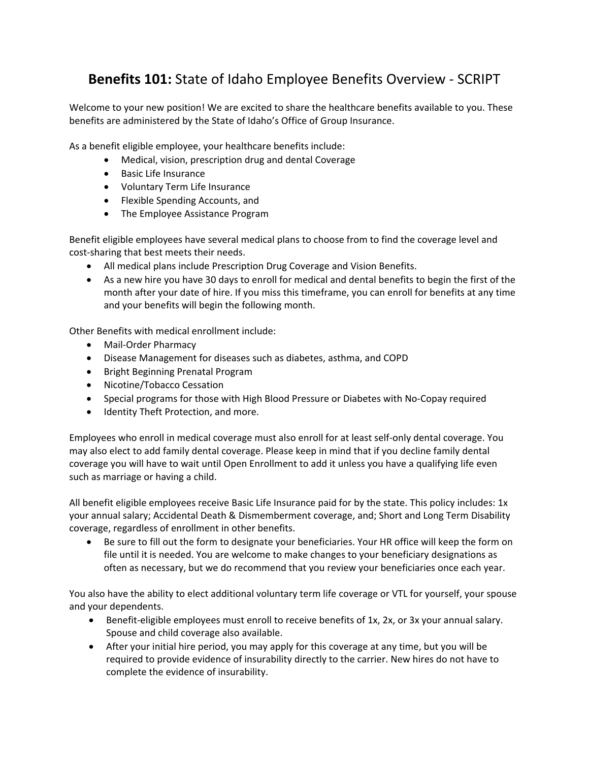## **Benefits 101:** State of Idaho Employee Benefits Overview ‐ SCRIPT

Welcome to your new position! We are excited to share the healthcare benefits available to you. These benefits are administered by the State of Idaho's Office of Group Insurance.

As a benefit eligible employee, your healthcare benefits include:

- Medical, vision, prescription drug and dental Coverage
- Basic Life Insurance
- Voluntary Term Life Insurance
- Flexible Spending Accounts, and
- The Employee Assistance Program

Benefit eligible employees have several medical plans to choose from to find the coverage level and cost‐sharing that best meets their needs.

- All medical plans include Prescription Drug Coverage and Vision Benefits.
- As a new hire you have 30 days to enroll for medical and dental benefits to begin the first of the month after your date of hire. If you miss this timeframe, you can enroll for benefits at any time and your benefits will begin the following month.

Other Benefits with medical enrollment include:

- Mail-Order Pharmacy
- Disease Management for diseases such as diabetes, asthma, and COPD
- Bright Beginning Prenatal Program
- Nicotine/Tobacco Cessation
- Special programs for those with High Blood Pressure or Diabetes with No-Copay required
- Identity Theft Protection, and more.

Employees who enroll in medical coverage must also enroll for at least self‐only dental coverage. You may also elect to add family dental coverage. Please keep in mind that if you decline family dental coverage you will have to wait until Open Enrollment to add it unless you have a qualifying life even such as marriage or having a child.

All benefit eligible employees receive Basic Life Insurance paid for by the state. This policy includes: 1x your annual salary; Accidental Death & Dismemberment coverage, and; Short and Long Term Disability coverage, regardless of enrollment in other benefits.

 Be sure to fill out the form to designate your beneficiaries. Your HR office will keep the form on file until it is needed. You are welcome to make changes to your beneficiary designations as often as necessary, but we do recommend that you review your beneficiaries once each year.

You also have the ability to elect additional voluntary term life coverage or VTL for yourself, your spouse and your dependents.

- Benefit-eligible employees must enroll to receive benefits of 1x, 2x, or 3x your annual salary. Spouse and child coverage also available.
- After your initial hire period, you may apply for this coverage at any time, but you will be required to provide evidence of insurability directly to the carrier. New hires do not have to complete the evidence of insurability.